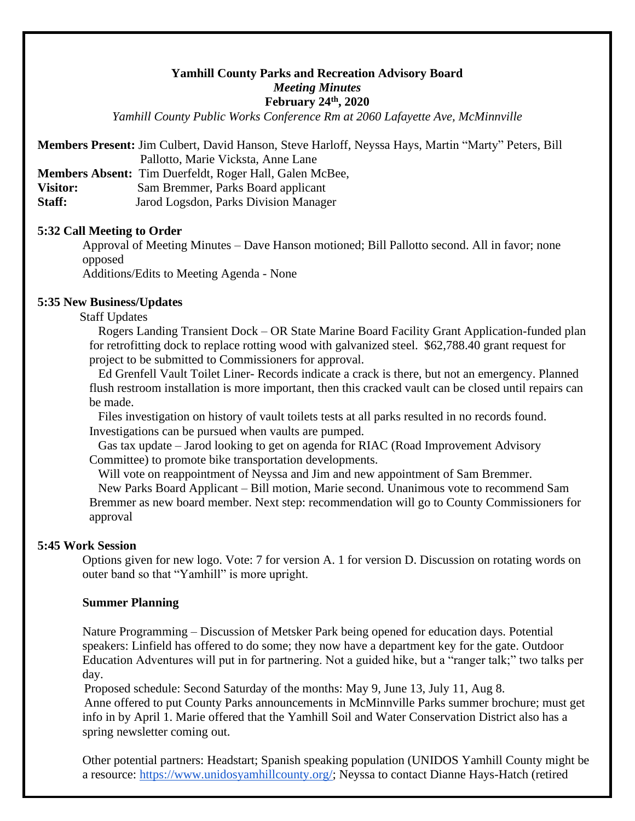# **Yamhill County Parks and Recreation Advisory Board** *Meeting Minutes* **February 24th, 2020**

*Yamhill County Public Works Conference Rm at 2060 Lafayette Ave, McMinnville*

**Members Present:** Jim Culbert, David Hanson, Steve Harloff, Neyssa Hays, Martin "Marty" Peters, Bill Pallotto, Marie Vicksta, Anne Lane

**Members Absent:** Tim Duerfeldt, Roger Hall, Galen McBee,

**Visitor:** Sam Bremmer, Parks Board applicant

**Staff:** Jarod Logsdon, Parks Division Manager

## **5:32 Call Meeting to Order**

Approval of Meeting Minutes – Dave Hanson motioned; Bill Pallotto second. All in favor; none opposed

Additions/Edits to Meeting Agenda - None

#### **5:35 New Business/Updates**

Staff Updates

Rogers Landing Transient Dock – OR State Marine Board Facility Grant Application-funded plan for retrofitting dock to replace rotting wood with galvanized steel. \$62,788.40 grant request for project to be submitted to Commissioners for approval.

Ed Grenfell Vault Toilet Liner- Records indicate a crack is there, but not an emergency. Planned flush restroom installation is more important, then this cracked vault can be closed until repairs can be made.

Files investigation on history of vault toilets tests at all parks resulted in no records found. Investigations can be pursued when vaults are pumped.

Gas tax update – Jarod looking to get on agenda for RIAC (Road Improvement Advisory Committee) to promote bike transportation developments.

Will vote on reappointment of Neyssa and Jim and new appointment of Sam Bremmer. New Parks Board Applicant – Bill motion, Marie second. Unanimous vote to recommend Sam Bremmer as new board member. Next step: recommendation will go to County Commissioners for approval

## **5:45 Work Session**

Options given for new logo. Vote: 7 for version A. 1 for version D. Discussion on rotating words on outer band so that "Yamhill" is more upright.

#### **Summer Planning**

Nature Programming – Discussion of Metsker Park being opened for education days. Potential speakers: Linfield has offered to do some; they now have a department key for the gate. Outdoor Education Adventures will put in for partnering. Not a guided hike, but a "ranger talk;" two talks per day.

Proposed schedule: Second Saturday of the months: May 9, June 13, July 11, Aug 8. Anne offered to put County Parks announcements in McMinnville Parks summer brochure; must get info in by April 1. Marie offered that the Yamhill Soil and Water Conservation District also has a spring newsletter coming out.

Other potential partners: Headstart; Spanish speaking population (UNIDOS Yamhill County might be a resource: [https://www.unidosyamhillcounty.org/;](https://www.unidosyamhillcounty.org/) Neyssa to contact Dianne Hays-Hatch (retired